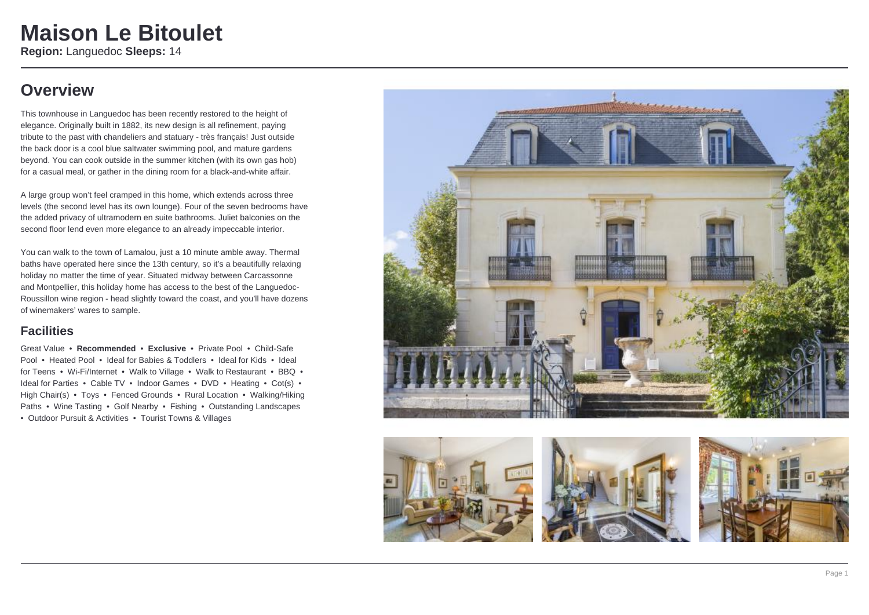### **Overview**

This townhouse in Languedoc has been recently restored to the height of elegance. Originally built in 1882, its new design is all refinement, paying tribute to the past with chandeliers and statuary - très français! Just outside the back door is a cool blue saltwater swimming pool, and mature gardens beyond. You can cook outside in the summer kitchen (with its own gas hob) for a casual meal, or gather in the dining room for a black-and-white affair.

A large group won't feel cramped in this home, which extends across three levels (the second level has its own lounge). Four of the seven bedrooms have the added privacy of ultramodern en suite bathrooms. Juliet balconies on the second floor lend even more elegance to an already impeccable interior.

You can walk to the town of Lamalou, just a 10 minute amble away. Thermal baths have operated here since the 13th century, so it's a beautifully relaxing holiday no matter the time of year. Situated midway between Carcassonne and Montpellier, this holiday home has access to the best of the Languedoc-Roussillon wine region - head slightly toward the coast, and you'll have dozens of winemakers' wares to sample.

### **Facilities**

Great Value • **Recommended** • **Exclusive** • Private Pool • Child-Safe Pool • Heated Pool • Ideal for Babies & Toddlers • Ideal for Kids • Ideal for Teens • Wi-Fi/Internet • Walk to Village • Walk to Restaurant • BBQ • Ideal for Parties • Cable TV • Indoor Games • DVD • Heating • Cot(s) • High Chair(s) • Toys • Fenced Grounds • Rural Location • Walking/Hiking Paths • Wine Tasting • Golf Nearby • Fishing • Outstanding Landscapes • Outdoor Pursuit & Activities • Tourist Towns & Villages



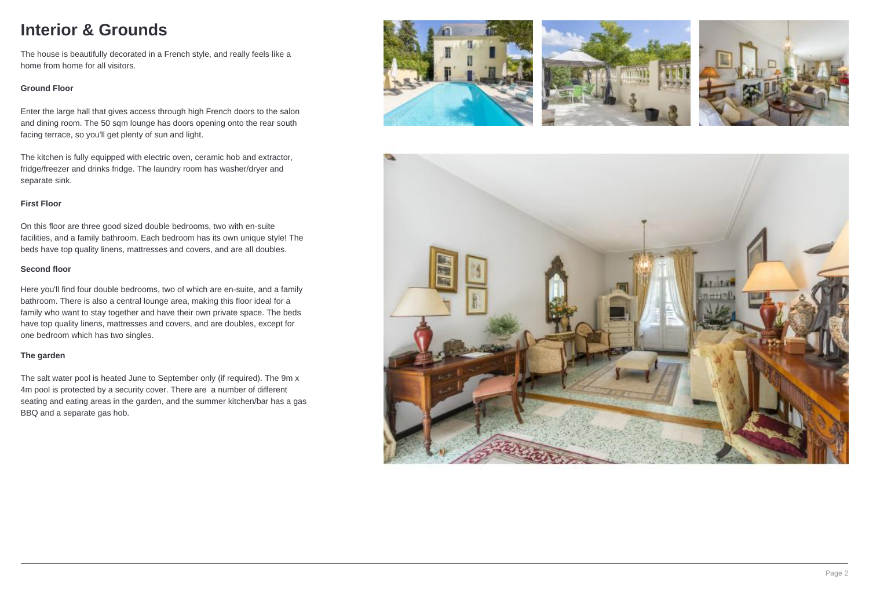### **Interior & Grounds**

The house is beautifully decorated in a French style, and really feels like a home from home for all visitors.

#### **Ground Floor**

Enter the large hall that gives access through high French doors to the salon and dining room. The 50 sqm lounge has doors opening onto the rear south facing terrace, so you'll get plenty of sun and light.

The kitchen is fully equipped with electric oven, ceramic hob and extractor, fridge/freezer and drinks fridge. The laundry room has washer/dryer and separate sink.

#### **First Floor**

On this floor are three good sized double bedrooms, two with en-suite facilities, and a family bathroom. Each bedroom has its own unique style! The beds have top quality linens, mattresses and covers, and are all doubles.

#### **Second floor**

Here you'll find four double bedrooms, two of which are en-suite, and a family bathroom. There is also a central lounge area, making this floor ideal for a family who want to stay together and have their own private space. The beds have top quality linens, mattresses and covers, and are doubles, except for one bedroom which has two singles.

#### **The garden**

The salt water pool is heated June to September only (if required). The 9m x 4m pool is protected by a security cover. There are a number of different seating and eating areas in the garden, and the summer kitchen/bar has a gas BBQ and a separate gas hob.







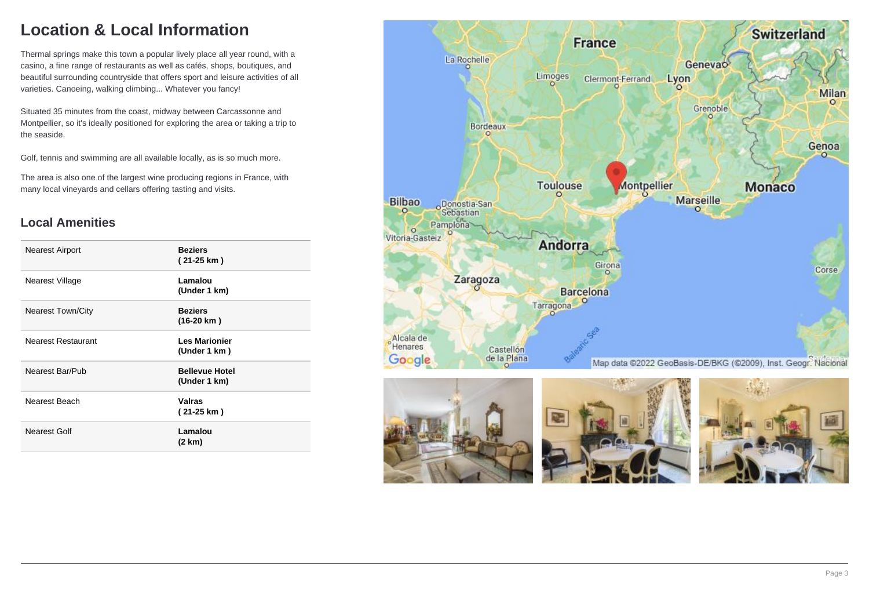## **Location & Local Information**

Thermal springs make this town a popular lively place all year round, with a casino, a fine range of restaurants as well as cafés, shops, boutiques, and beautiful surrounding countryside that offers sport and leisure activities of all varieties. Canoeing, walking climbing... Whatever you fancy!

Situated 35 minutes from the coast, midway between Carcassonne and Montpellier, so it's ideally positioned for exploring the area or taking a trip to the seaside.

Golf, tennis and swimming are all available locally, as is so much more.

The area is also one of the largest wine producing regions in France, with many local vineyards and cellars offering tasting and visits.

### **Local Amenities**

| <b>Nearest Airport</b>   | <b>Beziers</b><br>(21-25 km)          |
|--------------------------|---------------------------------------|
| Nearest Village          | Lamalou<br>(Under 1 km)               |
| <b>Nearest Town/City</b> | <b>Beziers</b><br>$(16-20 km)$        |
| Nearest Restaurant       | <b>Les Marionier</b><br>(Under 1 km)  |
| Nearest Bar/Pub          | <b>Bellevue Hotel</b><br>(Under 1 km) |
| Nearest Beach            | <b>Valras</b><br>(21-25 km)           |
| Nearest Golf             | Lamalou<br>(2 km)                     |







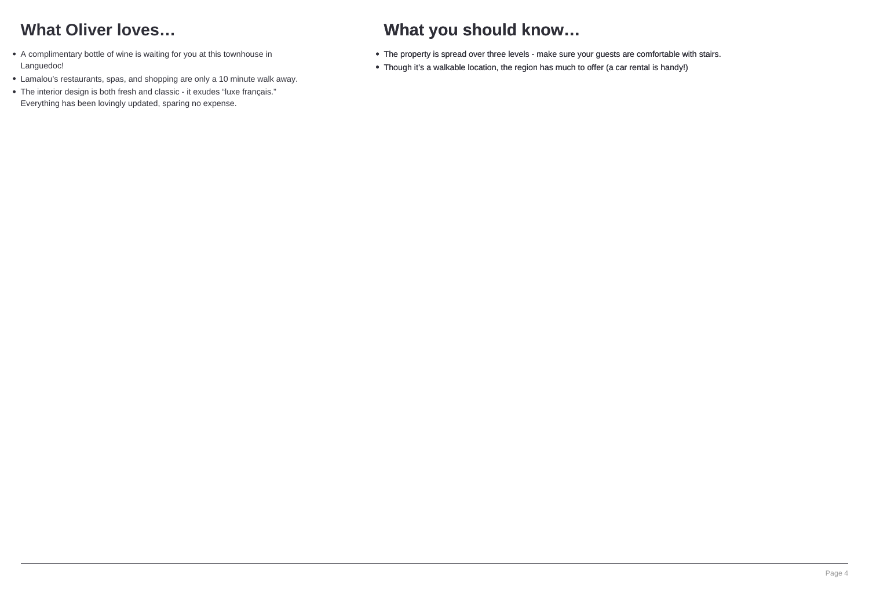## **What Oliver loves…**

- A complimentary bottle of wine is waiting for you at this townhouse in Languedoc!
- Lamalou's restaurants, spas, and shopping are only a 10 minute walk away.
- The interior design is both fresh and classic it exudes "luxe français." Everything has been lovingly updated, sparing no expense.

## **What you should know…**

- The property is spread over three levels make sure your guests are comfortable with stairs.
- Though it's a walkable location, the region has much to offer (a car rental is handy!)